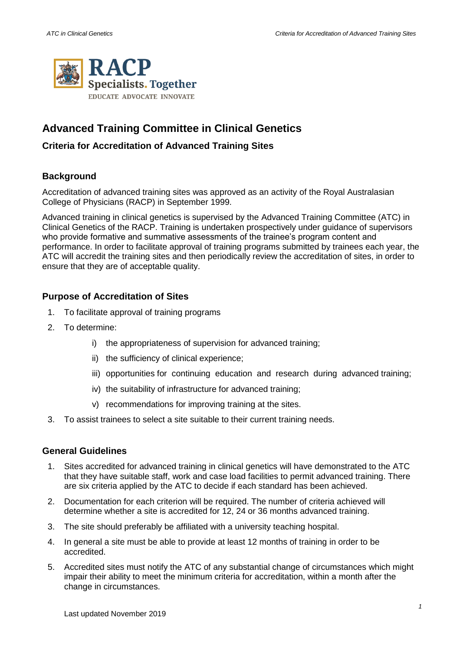

# **Advanced Training Committee in Clinical Genetics**

## **Criteria for Accreditation of Advanced Training Sites**

## **Background**

Accreditation of advanced training sites was approved as an activity of the Royal Australasian College of Physicians (RACP) in September 1999.

Advanced training in clinical genetics is supervised by the Advanced Training Committee (ATC) in Clinical Genetics of the RACP. Training is undertaken prospectively under guidance of supervisors who provide formative and summative assessments of the trainee's program content and performance. In order to facilitate approval of training programs submitted by trainees each year, the ATC will accredit the training sites and then periodically review the accreditation of sites, in order to ensure that they are of acceptable quality.

## **Purpose of Accreditation of Sites**

- 1. To facilitate approval of training programs
- 2. To determine:
	- i) the appropriateness of supervision for advanced training;
	- ii) the sufficiency of clinical experience;
	- iii) opportunities for continuing education and research during advanced training;
	- iv) the suitability of infrastructure for advanced training;
	- v) recommendations for improving training at the sites.
- 3. To assist trainees to select a site suitable to their current training needs.

#### **General Guidelines**

- 1. Sites accredited for advanced training in clinical genetics will have demonstrated to the ATC that they have suitable staff, work and case load facilities to permit advanced training. There are six criteria applied by the ATC to decide if each standard has been achieved.
- 2. Documentation for each criterion will be required. The number of criteria achieved will determine whether a site is accredited for 12, 24 or 36 months advanced training.
- 3. The site should preferably be affiliated with a university teaching hospital.
- 4. In general a site must be able to provide at least 12 months of training in order to be accredited.
- 5. Accredited sites must notify the ATC of any substantial change of circumstances which might impair their ability to meet the minimum criteria for accreditation, within a month after the change in circumstances.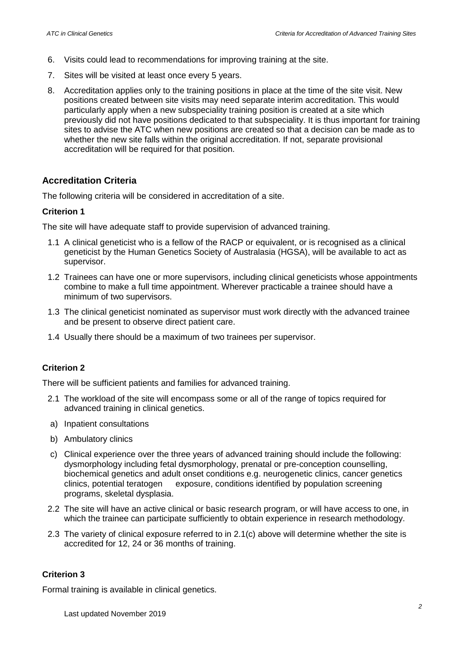- 6. Visits could lead to recommendations for improving training at the site.
- 7. Sites will be visited at least once every 5 years.
- 8. Accreditation applies only to the training positions in place at the time of the site visit. New positions created between site visits may need separate interim accreditation. This would particularly apply when a new subspeciality training position is created at a site which previously did not have positions dedicated to that subspeciality. It is thus important for training sites to advise the ATC when new positions are created so that a decision can be made as to whether the new site falls within the original accreditation. If not, separate provisional accreditation will be required for that position.

## **Accreditation Criteria**

The following criteria will be considered in accreditation of a site.

#### **Criterion 1**

The site will have adequate staff to provide supervision of advanced training.

- 1.1 A clinical geneticist who is a fellow of the RACP or equivalent, or is recognised as a clinical geneticist by the Human Genetics Society of Australasia (HGSA), will be available to act as supervisor.
- 1.2 Trainees can have one or more supervisors, including clinical geneticists whose appointments combine to make a full time appointment. Wherever practicable a trainee should have a minimum of two supervisors.
- 1.3 The clinical geneticist nominated as supervisor must work directly with the advanced trainee and be present to observe direct patient care.
- 1.4 Usually there should be a maximum of two trainees per supervisor.

## **Criterion 2**

There will be sufficient patients and families for advanced training.

- 2.1 The workload of the site will encompass some or all of the range of topics required for advanced training in clinical genetics.
- a) Inpatient consultations
- b) Ambulatory clinics
- c) Clinical experience over the three years of advanced training should include the following: dysmorphology including fetal dysmorphology, prenatal or pre-conception counselling, biochemical genetics and adult onset conditions e.g. neurogenetic clinics, cancer genetics clinics, potential teratogen exposure, conditions identified by population screening programs, skeletal dysplasia.
- 2.2 The site will have an active clinical or basic research program, or will have access to one, in which the trainee can participate sufficiently to obtain experience in research methodology.
- 2.3 The variety of clinical exposure referred to in 2.1(c) above will determine whether the site is accredited for 12, 24 or 36 months of training.

#### **Criterion 3**

Formal training is available in clinical genetics.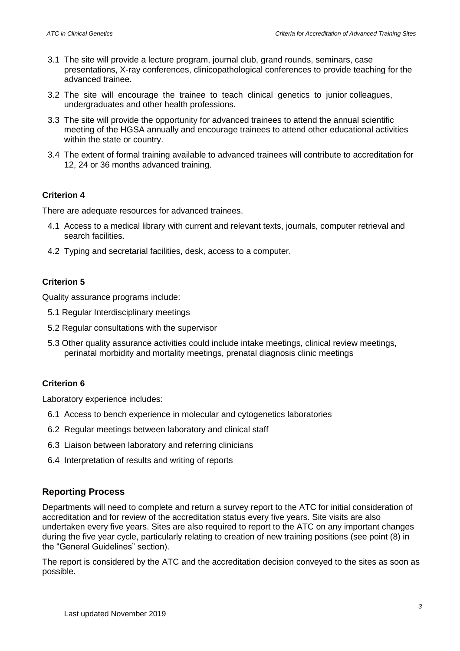- 3.1 The site will provide a lecture program, journal club, grand rounds, seminars, case presentations, X-ray conferences, clinicopathological conferences to provide teaching for the advanced trainee.
- 3.2 The site will encourage the trainee to teach clinical genetics to junior colleagues, undergraduates and other health professions.
- 3.3 The site will provide the opportunity for advanced trainees to attend the annual scientific meeting of the HGSA annually and encourage trainees to attend other educational activities within the state or country.
- 3.4 The extent of formal training available to advanced trainees will contribute to accreditation for 12, 24 or 36 months advanced training.

## **Criterion 4**

There are adequate resources for advanced trainees.

- 4.1 Access to a medical library with current and relevant texts, journals, computer retrieval and search facilities.
- 4.2 Typing and secretarial facilities, desk, access to a computer.

## **Criterion 5**

Quality assurance programs include:

- 5.1 Regular Interdisciplinary meetings
- 5.2 Regular consultations with the supervisor
- 5.3 Other quality assurance activities could include intake meetings, clinical review meetings, perinatal morbidity and mortality meetings, prenatal diagnosis clinic meetings

## **Criterion 6**

Laboratory experience includes:

- 6.1 Access to bench experience in molecular and cytogenetics laboratories
- 6.2 Regular meetings between laboratory and clinical staff
- 6.3 Liaison between laboratory and referring clinicians
- 6.4 Interpretation of results and writing of reports

## **Reporting Process**

Departments will need to complete and return a survey report to the ATC for initial consideration of accreditation and for review of the accreditation status every five years. Site visits are also undertaken every five years. Sites are also required to report to the ATC on any important changes during the five year cycle, particularly relating to creation of new training positions (see point (8) in the "General Guidelines" section).

The report is considered by the ATC and the accreditation decision conveyed to the sites as soon as possible.